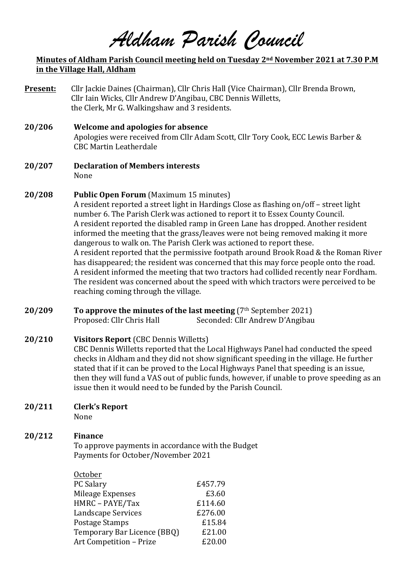*Aldham Parish Council*

### **Minutes of Aldham Parish Council meeting held on Tuesday 2<sup>nd</sup> November 2021 at 7.30 P.M in the Village Hall, Aldham**

- **Present:** Cllr Jackie Daines (Chairman), Cllr Chris Hall (Vice Chairman), Cllr Brenda Brown, Cllr Iain Wicks, Cllr Andrew D'Angibau, CBC Dennis Willetts, the Clerk, Mr G. Walkingshaw and 3 residents.
- **20/206 Welcome and apologies for absence** Apologies were received from Cllr Adam Scott, Cllr Tory Cook, ECC Lewis Barber & CBC Martin Leatherdale
- **20/207 Declaration of Members interests** None

### **20/208** Public Open Forum (Maximum 15 minutes)

A resident reported a street light in Hardings Close as flashing on/off – street light number 6. The Parish Clerk was actioned to report it to Essex County Council. A resident reported the disabled ramp in Green Lane has dropped. Another resident informed the meeting that the grass/leaves were not being removed making it more dangerous to walk on. The Parish Clerk was actioned to report these. A resident reported that the permissive footpath around Brook Road & the Roman River has disappeared; the resident was concerned that this may force people onto the road. A resident informed the meeting that two tractors had collided recently near Fordham. The resident was concerned about the speed with which tractors were perceived to be reaching coming through the village.

**20/209 To approve the minutes of the last meeting** (7<sup>th</sup> September 2021) Proposed: Cllr Chris Hall Seconded: Cllr Andrew D'Angibau

# **20/210 Visitors Report** (CBC Dennis Willetts)

CBC Dennis Willetts reported that the Local Highways Panel had conducted the speed checks in Aldham and they did not show significant speeding in the village. He further stated that if it can be proved to the Local Highways Panel that speeding is an issue, then they will fund a VAS out of public funds, however, if unable to prove speeding as an issue then it would need to be funded by the Parish Council.

**20/211 Clerk's Report**

None

# **20/212 Finance**

To approve payments in accordance with the Budget Payments for October/November 2021

| October                     |         |
|-----------------------------|---------|
| PC Salary                   | £457.79 |
| Mileage Expenses            | £3.60   |
| HMRC - PAYE/Tax             | £114.60 |
| Landscape Services          | £276.00 |
| Postage Stamps              | £15.84  |
| Temporary Bar Licence (BBQ) | £21.00  |
| Art Competition - Prize     | £20.00  |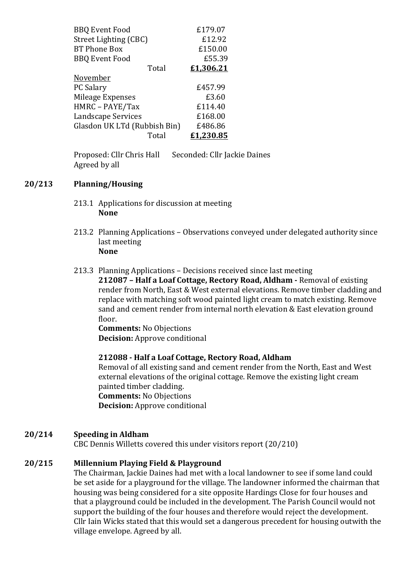| <b>BBQ Event Food</b>        | £179.07   |
|------------------------------|-----------|
| Street Lighting (CBC)        | £12.92    |
| <b>BT Phone Box</b>          | £150.00   |
| <b>BBQ Event Food</b>        | £55.39    |
| Total                        | £1,306.21 |
| November                     |           |
| PC Salary                    | £457.99   |
| Mileage Expenses             | £3.60     |
| HMRC - PAYE/Tax              | £114.40   |
| Landscape Services           | £168.00   |
| Glasdon UK LTd (Rubbish Bin) | £486.86   |
| Total                        | £1,230.85 |

Proposed: Cllr Chris Hall Seconded: Cllr Jackie Daines Agreed by all

### **20/213 Planning/Housing**

- 213.1 Applications for discussion at meeting **None**
- 213.2 Planning Applications Observations conveyed under delegated authority since last meeting **None**
- 213.3 Planning Applications Decisions received since last meeting **212087** - Half a Loaf Cottage, Rectory Road, Aldham - Removal of existing render from North, East & West external elevations. Remove timber cladding and replace with matching soft wood painted light cream to match existing. Remove sand and cement render from internal north elevation & East elevation ground floor.

**Comments:** No Objections **Decision:** Approve conditional

# **212088 - Half a Loaf Cottage, Rectory Road, Aldham**

Removal of all existing sand and cement render from the North, East and West external elevations of the original cottage. Remove the existing light cream painted timber cladding. **Comments:** No Objections **Decision:** Approve conditional

# **20/214 Speeding in Aldham**

CBC Dennis Willetts covered this under visitors report (20/210)

#### **20/215 Millennium Playing Field & Playground**

The Chairman, Jackie Daines had met with a local landowner to see if some land could be set aside for a playground for the village. The landowner informed the chairman that housing was being considered for a site opposite Hardings Close for four houses and that a playground could be included in the development. The Parish Council would not support the building of the four houses and therefore would reject the development. Cllr Iain Wicks stated that this would set a dangerous precedent for housing outwith the village envelope. Agreed by all.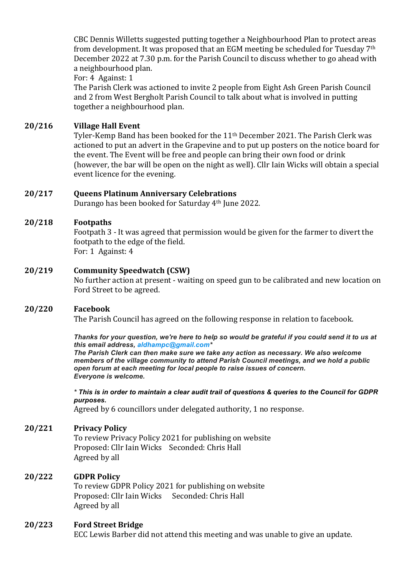CBC Dennis Willetts suggested putting together a Neighbourhood Plan to protect areas from development. It was proposed that an EGM meeting be scheduled for Tuesday  $7<sup>th</sup>$ December 2022 at 7.30 p.m. for the Parish Council to discuss whether to go ahead with a neighbourhood plan.

For: 4 Against: 1

The Parish Clerk was actioned to invite 2 people from Eight Ash Green Parish Council and 2 from West Bergholt Parish Council to talk about what is involved in putting together a neighbourhood plan.

# **20/216 Village Hall Event**

Tyler-Kemp Band has been booked for the 11<sup>th</sup> December 2021. The Parish Clerk was actioned to put an advert in the Grapevine and to put up posters on the notice board for the event. The Event will be free and people can bring their own food or drink (however, the bar will be open on the night as well). Cllr Iain Wicks will obtain a special event licence for the evening.

#### **20/217 Queens Platinum Anniversary Celebrations**

Durango has been booked for Saturday 4<sup>th</sup> June 2022.

### **20/218 Footpaths**

Footpath 3 - It was agreed that permission would be given for the farmer to divert the footpath to the edge of the field. For: 1 Against: 4

### **20/219 Community Speedwatch (CSW)**

No further action at present - waiting on speed gun to be calibrated and new location on Ford Street to be agreed.

#### **20/220 Facebook**

The Parish Council has agreed on the following response in relation to facebook.

*Thanks for your question, we're here to help so would be grateful if you could send it to us at this email address, aldhampc@gmail.com\**

*The Parish Clerk can then make sure we take any action as necessary. We also welcome members of the village community to attend Parish Council meetings, and we hold a public open forum at each meeting for local people to raise issues of concern. Everyone is welcome.*

*\* This is in order to maintain a clear audit trail of questions & queries to the Council for GDPR purposes.*

Agreed by 6 councillors under delegated authority, 1 no response.

# **20/221 Privacy Policy**

To review Privacy Policy 2021 for publishing on website Proposed: Cllr Iain Wicks Seconded: Chris Hall Agreed by all

# **20/222 GDPR Policy**

To review GDPR Policy 2021 for publishing on website Proposed: Cllr Iain Wicks Seconded: Chris Hall Agreed by all

# **20/223 Ford Street Bridge**

ECC Lewis Barber did not attend this meeting and was unable to give an update.